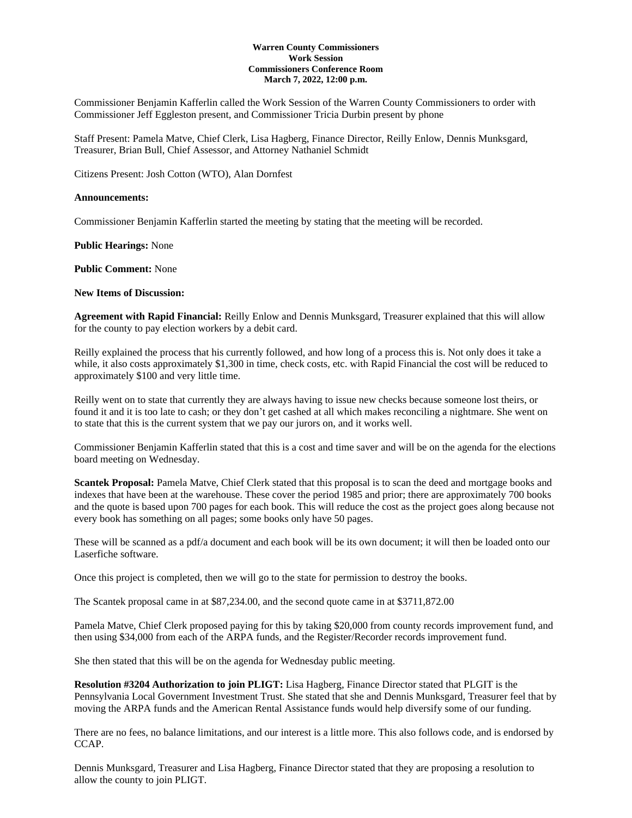#### **Warren County Commissioners Work Session Commissioners Conference Room March 7, 2022, 12:00 p.m.**

Commissioner Benjamin Kafferlin called the Work Session of the Warren County Commissioners to order with Commissioner Jeff Eggleston present, and Commissioner Tricia Durbin present by phone

Staff Present: Pamela Matve, Chief Clerk, Lisa Hagberg, Finance Director, Reilly Enlow, Dennis Munksgard, Treasurer, Brian Bull, Chief Assessor, and Attorney Nathaniel Schmidt

Citizens Present: Josh Cotton (WTO), Alan Dornfest

#### **Announcements:**

Commissioner Benjamin Kafferlin started the meeting by stating that the meeting will be recorded.

**Public Hearings:** None

**Public Comment:** None

#### **New Items of Discussion:**

**Agreement with Rapid Financial:** Reilly Enlow and Dennis Munksgard, Treasurer explained that this will allow for the county to pay election workers by a debit card.

Reilly explained the process that his currently followed, and how long of a process this is. Not only does it take a while, it also costs approximately \$1,300 in time, check costs, etc. with Rapid Financial the cost will be reduced to approximately \$100 and very little time.

Reilly went on to state that currently they are always having to issue new checks because someone lost theirs, or found it and it is too late to cash; or they don't get cashed at all which makes reconciling a nightmare. She went on to state that this is the current system that we pay our jurors on, and it works well.

Commissioner Benjamin Kafferlin stated that this is a cost and time saver and will be on the agenda for the elections board meeting on Wednesday.

**Scantek Proposal:** Pamela Matve, Chief Clerk stated that this proposal is to scan the deed and mortgage books and indexes that have been at the warehouse. These cover the period 1985 and prior; there are approximately 700 books and the quote is based upon 700 pages for each book. This will reduce the cost as the project goes along because not every book has something on all pages; some books only have 50 pages.

These will be scanned as a pdf/a document and each book will be its own document; it will then be loaded onto our Laserfiche software.

Once this project is completed, then we will go to the state for permission to destroy the books.

The Scantek proposal came in at \$87,234.00, and the second quote came in at \$3711,872.00

Pamela Matve, Chief Clerk proposed paying for this by taking \$20,000 from county records improvement fund, and then using \$34,000 from each of the ARPA funds, and the Register/Recorder records improvement fund.

She then stated that this will be on the agenda for Wednesday public meeting.

**Resolution #3204 Authorization to join PLIGT:** Lisa Hagberg, Finance Director stated that PLGIT is the Pennsylvania Local Government Investment Trust. She stated that she and Dennis Munksgard, Treasurer feel that by moving the ARPA funds and the American Rental Assistance funds would help diversify some of our funding.

There are no fees, no balance limitations, and our interest is a little more. This also follows code, and is endorsed by CCAP.

Dennis Munksgard, Treasurer and Lisa Hagberg, Finance Director stated that they are proposing a resolution to allow the county to join PLIGT.